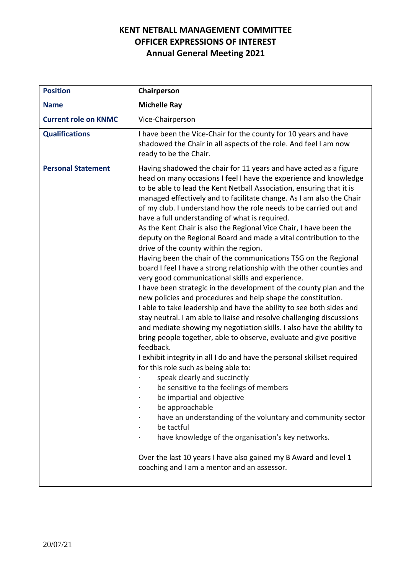| <b>Position</b>             | Chairperson                                                                                                                                                                                                                                                                                                                                                                                                                                                                                                                                                                                                                                                                                                                                                                                                                                                                                                                                                                                                                                                                                                                                                                                                                                                                                                                                                                                                                                                                                                                                                                                                                                                                                                                                                 |
|-----------------------------|-------------------------------------------------------------------------------------------------------------------------------------------------------------------------------------------------------------------------------------------------------------------------------------------------------------------------------------------------------------------------------------------------------------------------------------------------------------------------------------------------------------------------------------------------------------------------------------------------------------------------------------------------------------------------------------------------------------------------------------------------------------------------------------------------------------------------------------------------------------------------------------------------------------------------------------------------------------------------------------------------------------------------------------------------------------------------------------------------------------------------------------------------------------------------------------------------------------------------------------------------------------------------------------------------------------------------------------------------------------------------------------------------------------------------------------------------------------------------------------------------------------------------------------------------------------------------------------------------------------------------------------------------------------------------------------------------------------------------------------------------------------|
| <b>Name</b>                 | <b>Michelle Ray</b>                                                                                                                                                                                                                                                                                                                                                                                                                                                                                                                                                                                                                                                                                                                                                                                                                                                                                                                                                                                                                                                                                                                                                                                                                                                                                                                                                                                                                                                                                                                                                                                                                                                                                                                                         |
| <b>Current role on KNMC</b> | Vice-Chairperson                                                                                                                                                                                                                                                                                                                                                                                                                                                                                                                                                                                                                                                                                                                                                                                                                                                                                                                                                                                                                                                                                                                                                                                                                                                                                                                                                                                                                                                                                                                                                                                                                                                                                                                                            |
| <b>Qualifications</b>       | I have been the Vice-Chair for the county for 10 years and have<br>shadowed the Chair in all aspects of the role. And feel I am now<br>ready to be the Chair.                                                                                                                                                                                                                                                                                                                                                                                                                                                                                                                                                                                                                                                                                                                                                                                                                                                                                                                                                                                                                                                                                                                                                                                                                                                                                                                                                                                                                                                                                                                                                                                               |
| <b>Personal Statement</b>   | Having shadowed the chair for 11 years and have acted as a figure<br>head on many occasions I feel I have the experience and knowledge<br>to be able to lead the Kent Netball Association, ensuring that it is<br>managed effectively and to facilitate change. As I am also the Chair<br>of my club. I understand how the role needs to be carried out and<br>have a full understanding of what is required.<br>As the Kent Chair is also the Regional Vice Chair, I have been the<br>deputy on the Regional Board and made a vital contribution to the<br>drive of the county within the region.<br>Having been the chair of the communications TSG on the Regional<br>board I feel I have a strong relationship with the other counties and<br>very good communicational skills and experience.<br>I have been strategic in the development of the county plan and the<br>new policies and procedures and help shape the constitution.<br>I able to take leadership and have the ability to see both sides and<br>stay neutral. I am able to liaise and resolve challenging discussions<br>and mediate showing my negotiation skills. I also have the ability to<br>bring people together, able to observe, evaluate and give positive<br>feedback.<br>I exhibit integrity in all I do and have the personal skillset required<br>for this role such as being able to:<br>speak clearly and succinctly<br>be sensitive to the feelings of members<br>be impartial and objective<br>be approachable<br>have an understanding of the voluntary and community sector<br>be tactful<br>have knowledge of the organisation's key networks.<br>Over the last 10 years I have also gained my B Award and level 1<br>coaching and I am a mentor and an assessor. |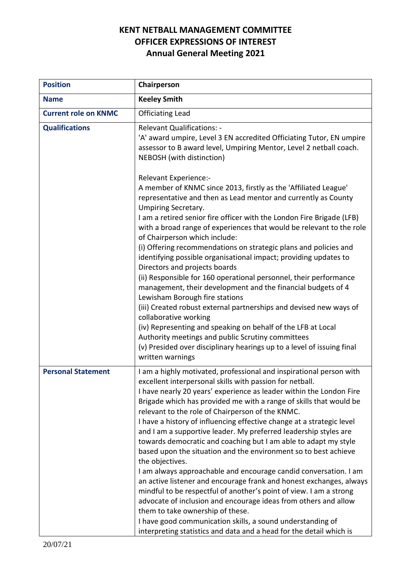| <b>Position</b>             | Chairperson                                                                                                                                                                                                                                                                                                                                                                                                                                                                                                                                                                                                                                                                                                                                                                                                                                                                                                                                                                                                                                                                                         |
|-----------------------------|-----------------------------------------------------------------------------------------------------------------------------------------------------------------------------------------------------------------------------------------------------------------------------------------------------------------------------------------------------------------------------------------------------------------------------------------------------------------------------------------------------------------------------------------------------------------------------------------------------------------------------------------------------------------------------------------------------------------------------------------------------------------------------------------------------------------------------------------------------------------------------------------------------------------------------------------------------------------------------------------------------------------------------------------------------------------------------------------------------|
| <b>Name</b>                 | <b>Keeley Smith</b>                                                                                                                                                                                                                                                                                                                                                                                                                                                                                                                                                                                                                                                                                                                                                                                                                                                                                                                                                                                                                                                                                 |
| <b>Current role on KNMC</b> | <b>Officiating Lead</b>                                                                                                                                                                                                                                                                                                                                                                                                                                                                                                                                                                                                                                                                                                                                                                                                                                                                                                                                                                                                                                                                             |
| <b>Qualifications</b>       | <b>Relevant Qualifications: -</b><br>'A' award umpire, Level 3 EN accredited Officiating Tutor, EN umpire<br>assessor to B award level, Umpiring Mentor, Level 2 netball coach.<br>NEBOSH (with distinction)                                                                                                                                                                                                                                                                                                                                                                                                                                                                                                                                                                                                                                                                                                                                                                                                                                                                                        |
|                             | Relevant Experience:-<br>A member of KNMC since 2013, firstly as the 'Affiliated League'<br>representative and then as Lead mentor and currently as County<br><b>Umpiring Secretary.</b><br>I am a retired senior fire officer with the London Fire Brigade (LFB)<br>with a broad range of experiences that would be relevant to the role<br>of Chairperson which include:<br>(i) Offering recommendations on strategic plans and policies and<br>identifying possible organisational impact; providing updates to<br>Directors and projects boards<br>(ii) Responsible for 160 operational personnel, their performance<br>management, their development and the financial budgets of 4<br>Lewisham Borough fire stations<br>(iii) Created robust external partnerships and devised new ways of<br>collaborative working<br>(iv) Representing and speaking on behalf of the LFB at Local<br>Authority meetings and public Scrutiny committees<br>(v) Presided over disciplinary hearings up to a level of issuing final<br>written warnings                                                        |
| <b>Personal Statement</b>   | I am a highly motivated, professional and inspirational person with<br>excellent interpersonal skills with passion for netball.<br>I have nearly 20 years' experience as leader within the London Fire<br>Brigade which has provided me with a range of skills that would be<br>relevant to the role of Chairperson of the KNMC.<br>I have a history of influencing effective change at a strategic level<br>and I am a supportive leader. My preferred leadership styles are<br>towards democratic and coaching but I am able to adapt my style<br>based upon the situation and the environment so to best achieve<br>the objectives.<br>I am always approachable and encourage candid conversation. I am<br>an active listener and encourage frank and honest exchanges, always<br>mindful to be respectful of another's point of view. I am a strong<br>advocate of inclusion and encourage ideas from others and allow<br>them to take ownership of these.<br>I have good communication skills, a sound understanding of<br>interpreting statistics and data and a head for the detail which is |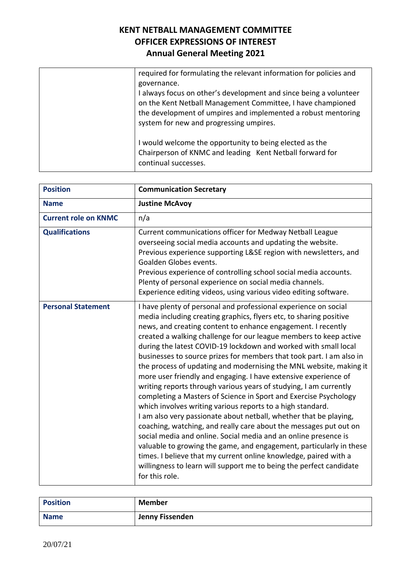| required for formulating the relevant information for policies and<br>governance.<br>I always focus on other's development and since being a volunteer<br>on the Kent Netball Management Committee, I have championed |
|-----------------------------------------------------------------------------------------------------------------------------------------------------------------------------------------------------------------------|
| the development of umpires and implemented a robust mentoring<br>system for new and progressing umpires.                                                                                                              |
| I would welcome the opportunity to being elected as the<br>Chairperson of KNMC and leading Kent Netball forward for<br>continual successes.                                                                           |

| <b>Position</b>             | <b>Communication Secretary</b>                                                                                                                                                                                                                                                                                                                                                                                                                                                                                                                                                                                                                                                                                                                                                                                                                                                                                                                                                                                                                                                                                                                                                                                         |
|-----------------------------|------------------------------------------------------------------------------------------------------------------------------------------------------------------------------------------------------------------------------------------------------------------------------------------------------------------------------------------------------------------------------------------------------------------------------------------------------------------------------------------------------------------------------------------------------------------------------------------------------------------------------------------------------------------------------------------------------------------------------------------------------------------------------------------------------------------------------------------------------------------------------------------------------------------------------------------------------------------------------------------------------------------------------------------------------------------------------------------------------------------------------------------------------------------------------------------------------------------------|
| <b>Name</b>                 | <b>Justine McAvoy</b>                                                                                                                                                                                                                                                                                                                                                                                                                                                                                                                                                                                                                                                                                                                                                                                                                                                                                                                                                                                                                                                                                                                                                                                                  |
| <b>Current role on KNMC</b> | n/a                                                                                                                                                                                                                                                                                                                                                                                                                                                                                                                                                                                                                                                                                                                                                                                                                                                                                                                                                                                                                                                                                                                                                                                                                    |
| <b>Qualifications</b>       | Current communications officer for Medway Netball League<br>overseeing social media accounts and updating the website.<br>Previous experience supporting L&SE region with newsletters, and<br>Goalden Globes events.<br>Previous experience of controlling school social media accounts.<br>Plenty of personal experience on social media channels.<br>Experience editing videos, using various video editing software.                                                                                                                                                                                                                                                                                                                                                                                                                                                                                                                                                                                                                                                                                                                                                                                                |
| <b>Personal Statement</b>   | I have plenty of personal and professional experience on social<br>media including creating graphics, flyers etc, to sharing positive<br>news, and creating content to enhance engagement. I recently<br>created a walking challenge for our league members to keep active<br>during the latest COVID-19 lockdown and worked with small local<br>businesses to source prizes for members that took part. I am also in<br>the process of updating and modernising the MNL website, making it<br>more user friendly and engaging. I have extensive experience of<br>writing reports through various years of studying, I am currently<br>completing a Masters of Science in Sport and Exercise Psychology<br>which involves writing various reports to a high standard.<br>I am also very passionate about netball, whether that be playing,<br>coaching, watching, and really care about the messages put out on<br>social media and online. Social media and an online presence is<br>valuable to growing the game, and engagement, particularly in these<br>times. I believe that my current online knowledge, paired with a<br>willingness to learn will support me to being the perfect candidate<br>for this role. |

| <b>Position</b> | <b>Member</b>   |
|-----------------|-----------------|
| <b>Name</b>     | Jenny Fissenden |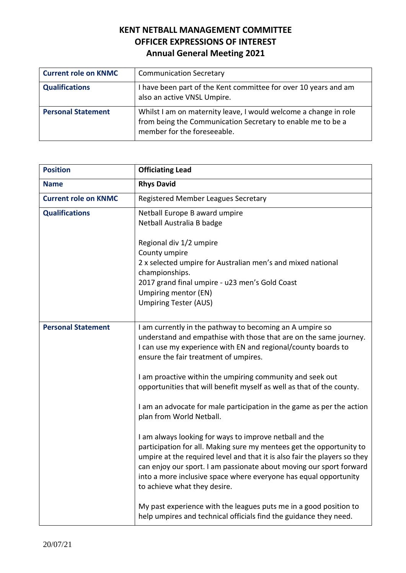| <b>Current role on KNMC</b> | <b>Communication Secretary</b>                                                                                                                                 |
|-----------------------------|----------------------------------------------------------------------------------------------------------------------------------------------------------------|
| <b>Qualifications</b>       | I have been part of the Kent committee for over 10 years and am<br>also an active VNSL Umpire.                                                                 |
| <b>Personal Statement</b>   | Whilst I am on maternity leave, I would welcome a change in role<br>from being the Communication Secretary to enable me to be a<br>member for the foreseeable. |

| <b>Position</b>             | <b>Officiating Lead</b>                                                                                                                                                                                                                                                                                                                                                                 |
|-----------------------------|-----------------------------------------------------------------------------------------------------------------------------------------------------------------------------------------------------------------------------------------------------------------------------------------------------------------------------------------------------------------------------------------|
| <b>Name</b>                 | <b>Rhys David</b>                                                                                                                                                                                                                                                                                                                                                                       |
| <b>Current role on KNMC</b> | Registered Member Leagues Secretary                                                                                                                                                                                                                                                                                                                                                     |
| <b>Qualifications</b>       | Netball Europe B award umpire<br>Netball Australia B badge<br>Regional div 1/2 umpire<br>County umpire<br>2 x selected umpire for Australian men's and mixed national<br>championships.                                                                                                                                                                                                 |
|                             | 2017 grand final umpire - u23 men's Gold Coast<br>Umpiring mentor (EN)<br><b>Umpiring Tester (AUS)</b>                                                                                                                                                                                                                                                                                  |
| <b>Personal Statement</b>   | I am currently in the pathway to becoming an A umpire so<br>understand and empathise with those that are on the same journey.<br>I can use my experience with EN and regional/county boards to<br>ensure the fair treatment of umpires.                                                                                                                                                 |
|                             | I am proactive within the umpiring community and seek out<br>opportunities that will benefit myself as well as that of the county.                                                                                                                                                                                                                                                      |
|                             | I am an advocate for male participation in the game as per the action<br>plan from World Netball.                                                                                                                                                                                                                                                                                       |
|                             | I am always looking for ways to improve netball and the<br>participation for all. Making sure my mentees get the opportunity to<br>umpire at the required level and that it is also fair the players so they<br>can enjoy our sport. I am passionate about moving our sport forward<br>into a more inclusive space where everyone has equal opportunity<br>to achieve what they desire. |
|                             | My past experience with the leagues puts me in a good position to<br>help umpires and technical officials find the guidance they need.                                                                                                                                                                                                                                                  |